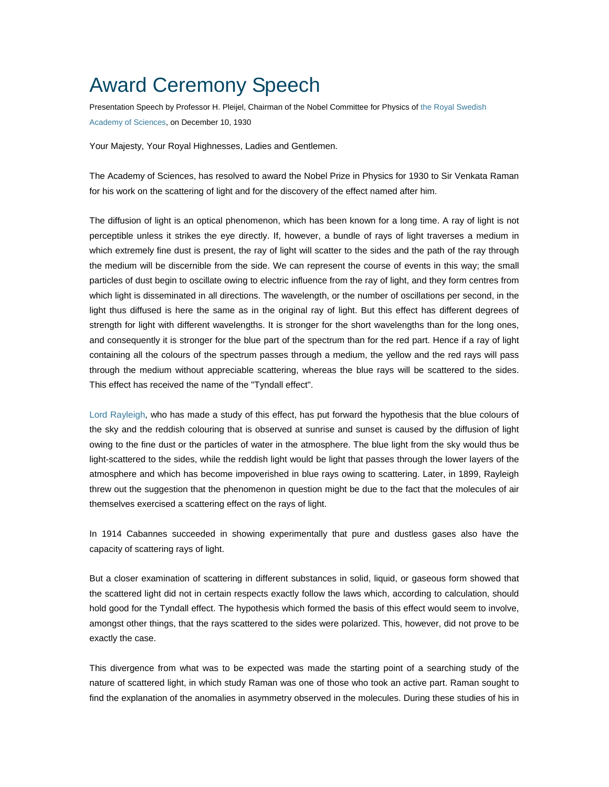## Award Ceremony Speech

Presentation Speech by Professor H. Pleijel, Chairman of the Nobel Committee for Physics of [the Royal Swedish](http://nobelprize.org/redirect/links_out/prizeawarder.php?from=/nobel_prizes/physics/laureates/1930/press.html&object=kva&to=http://www.kva.se)  [Academy of Sciences,](http://nobelprize.org/redirect/links_out/prizeawarder.php?from=/nobel_prizes/physics/laureates/1930/press.html&object=kva&to=http://www.kva.se) on December 10, 1930

Your Majesty, Your Royal Highnesses, Ladies and Gentlemen.

The Academy of Sciences, has resolved to award the Nobel Prize in Physics for 1930 to Sir Venkata Raman for his work on the scattering of light and for the discovery of the effect named after him.

The diffusion of light is an optical phenomenon, which has been known for a long time. A ray of light is not perceptible unless it strikes the eye directly. If, however, a bundle of rays of light traverses a medium in which extremely fine dust is present, the ray of light will scatter to the sides and the path of the ray through the medium will be discernible from the side. We can represent the course of events in this way; the small particles of dust begin to oscillate owing to electric influence from the ray of light, and they form centres from which light is disseminated in all directions. The wavelength, or the number of oscillations per second, in the light thus diffused is here the same as in the original ray of light. But this effect has different degrees of strength for light with different wavelengths. It is stronger for the short wavelengths than for the long ones, and consequently it is stronger for the blue part of the spectrum than for the red part. Hence if a ray of light containing all the colours of the spectrum passes through a medium, the yellow and the red rays will pass through the medium without appreciable scattering, whereas the blue rays will be scattered to the sides. This effect has received the name of the "Tyndall effect".

[Lord Rayleigh,](http://nobelprize.org/nobel_prizes/physics/laureates/1904/index.html) who has made a study of this effect, has put forward the hypothesis that the blue colours of the sky and the reddish colouring that is observed at sunrise and sunset is caused by the diffusion of light owing to the fine dust or the particles of water in the atmosphere. The blue light from the sky would thus be light-scattered to the sides, while the reddish light would be light that passes through the lower layers of the atmosphere and which has become impoverished in blue rays owing to scattering. Later, in 1899, Rayleigh threw out the suggestion that the phenomenon in question might be due to the fact that the molecules of air themselves exercised a scattering effect on the rays of light.

In 1914 Cabannes succeeded in showing experimentally that pure and dustless gases also have the capacity of scattering rays of light.

But a closer examination of scattering in different substances in solid, liquid, or gaseous form showed that the scattered light did not in certain respects exactly follow the laws which, according to calculation, should hold good for the Tyndall effect. The hypothesis which formed the basis of this effect would seem to involve, amongst other things, that the rays scattered to the sides were polarized. This, however, did not prove to be exactly the case.

This divergence from what was to be expected was made the starting point of a searching study of the nature of scattered light, in which study Raman was one of those who took an active part. Raman sought to find the explanation of the anomalies in asymmetry observed in the molecules. During these studies of his in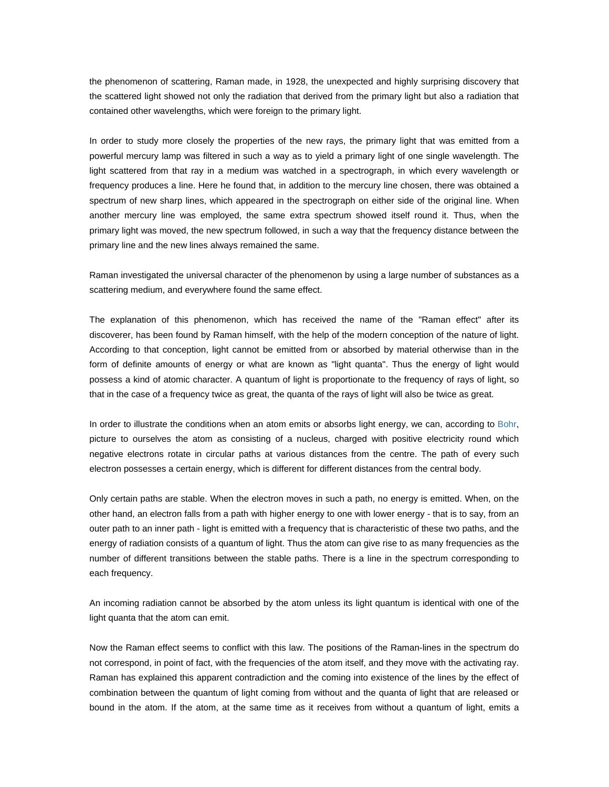the phenomenon of scattering, Raman made, in 1928, the unexpected and highly surprising discovery that the scattered light showed not only the radiation that derived from the primary light but also a radiation that contained other wavelengths, which were foreign to the primary light.

In order to study more closely the properties of the new rays, the primary light that was emitted from a powerful mercury lamp was filtered in such a way as to yield a primary light of one single wavelength. The light scattered from that ray in a medium was watched in a spectrograph, in which every wavelength or frequency produces a line. Here he found that, in addition to the mercury line chosen, there was obtained a spectrum of new sharp lines, which appeared in the spectrograph on either side of the original line. When another mercury line was employed, the same extra spectrum showed itself round it. Thus, when the primary light was moved, the new spectrum followed, in such a way that the frequency distance between the primary line and the new lines always remained the same.

Raman investigated the universal character of the phenomenon by using a large number of substances as a scattering medium, and everywhere found the same effect.

The explanation of this phenomenon, which has received the name of the "Raman effect" after its discoverer, has been found by Raman himself, with the help of the modern conception of the nature of light. According to that conception, light cannot be emitted from or absorbed by material otherwise than in the form of definite amounts of energy or what are known as "light quanta". Thus the energy of light would possess a kind of atomic character. A quantum of light is proportionate to the frequency of rays of light, so that in the case of a frequency twice as great, the quanta of the rays of light will also be twice as great.

In order to illustrate the conditions when an atom emits or absorbs light energy, we can, according to [Bohr](http://nobelprize.org/nobel_prizes/physics/laureates/1922/index.html), picture to ourselves the atom as consisting of a nucleus, charged with positive electricity round which negative electrons rotate in circular paths at various distances from the centre. The path of every such electron possesses a certain energy, which is different for different distances from the central body.

Only certain paths are stable. When the electron moves in such a path, no energy is emitted. When, on the other hand, an electron falls from a path with higher energy to one with lower energy - that is to say, from an outer path to an inner path - light is emitted with a frequency that is characteristic of these two paths, and the energy of radiation consists of a quantum of light. Thus the atom can give rise to as many frequencies as the number of different transitions between the stable paths. There is a line in the spectrum corresponding to each frequency.

An incoming radiation cannot be absorbed by the atom unless its light quantum is identical with one of the light quanta that the atom can emit.

Now the Raman effect seems to conflict with this law. The positions of the Raman-lines in the spectrum do not correspond, in point of fact, with the frequencies of the atom itself, and they move with the activating ray. Raman has explained this apparent contradiction and the coming into existence of the lines by the effect of combination between the quantum of light coming from without and the quanta of light that are released or bound in the atom. If the atom, at the same time as it receives from without a quantum of light, emits a